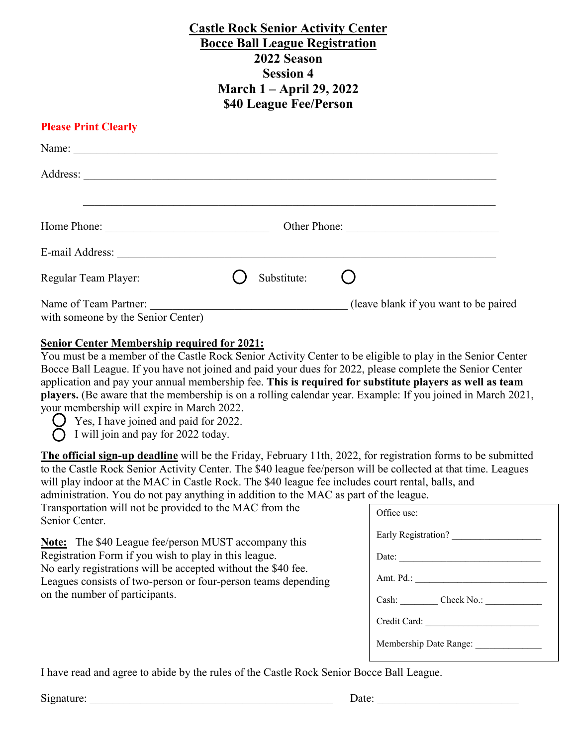# **Castle Rock Senior Activity Center Bocce Ball League Registration 2022 Season Session 4 March 1 – April 29, 2022 \$40 League Fee/Person**

# **Please Print Clearly**

| Name:                                                       |              |             |                                       |
|-------------------------------------------------------------|--------------|-------------|---------------------------------------|
| Address:                                                    |              |             |                                       |
| Home Phone:                                                 | Other Phone: |             |                                       |
| E-mail Address:                                             |              |             |                                       |
| Regular Team Player:                                        |              | Substitute: |                                       |
| Name of Team Partner:<br>with someone by the Senior Center) |              |             | (leave blank if you want to be paired |

## **Senior Center Membership required for 2021:**

You must be a member of the Castle Rock Senior Activity Center to be eligible to play in the Senior Center Bocce Ball League. If you have not joined and paid your dues for 2022, please complete the Senior Center application and pay your annual membership fee. **This is required for substitute players as well as team players.** (Be aware that the membership is on a rolling calendar year. Example: If you joined in March 2021, your membership will expire in March 2022.

Yes, I have joined and paid for 2022.

 $\bigcap$  I will join and pay for 2022 today.

**The official sign-up deadline** will be the Friday, February 11th, 2022, for registration forms to be submitted to the Castle Rock Senior Activity Center. The \$40 league fee/person will be collected at that time. Leagues will play indoor at the MAC in Castle Rock. The \$40 league fee includes court rental, balls, and administration. You do not pay anything in addition to the MAC as part of the league.

Transportation will not be provided to the MAC from the Senior Center.

**Note:** The \$40 League fee/person MUST accompany this Registration Form if you wish to play in this league. No early registrations will be accepted without the \$40 fee. Leagues consists of two-person or four-person teams depending on the number of participants.

| Office use:            |  |  |  |
|------------------------|--|--|--|
| Early Registration?    |  |  |  |
| Date:                  |  |  |  |
| Amt. Pd.:              |  |  |  |
| Cash: Check No.:       |  |  |  |
| Credit Card:           |  |  |  |
| Membership Date Range: |  |  |  |

I have read and agree to abide by the rules of the Castle Rock Senior Bocce Ball League.